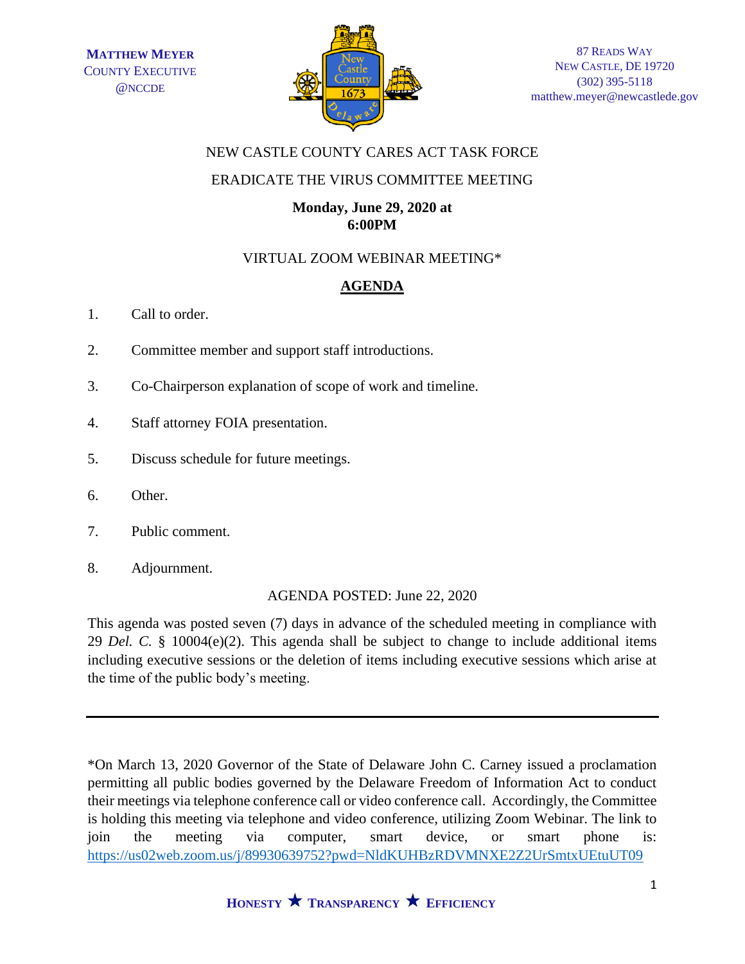

## NEW CASTLE COUNTY CARES ACT TASK FORCE

### ERADICATE THE VIRUS COMMITTEE MEETING

#### **Monday, June 29, 2020 at 6:00PM**

### VIRTUAL ZOOM WEBINAR MEETING\*

# **AGENDA**

- 1. Call to order.
- 2. Committee member and support staff introductions.
- 3. Co-Chairperson explanation of scope of work and timeline.
- 4. Staff attorney FOIA presentation.
- 5. Discuss schedule for future meetings.
- 6. Other.
- 7. Public comment.
- 8. Adjournment.

#### AGENDA POSTED: June 22, 2020

This agenda was posted seven (7) days in advance of the scheduled meeting in compliance with 29 *Del. C.* § 10004(e)(2). This agenda shall be subject to change to include additional items including executive sessions or the deletion of items including executive sessions which arise at the time of the public body's meeting.

\*On March 13, 2020 Governor of the State of Delaware John C. Carney issued a proclamation permitting all public bodies governed by the Delaware Freedom of Information Act to conduct their meetings via telephone conference call or video conference call. Accordingly, the Committee is holding this meeting via telephone and video conference, utilizing Zoom Webinar. The link to join the meeting via computer, smart device, or smart phone is: <https://us02web.zoom.us/j/89930639752?pwd=NldKUHBzRDVMNXE2Z2UrSmtxUEtuUT09>